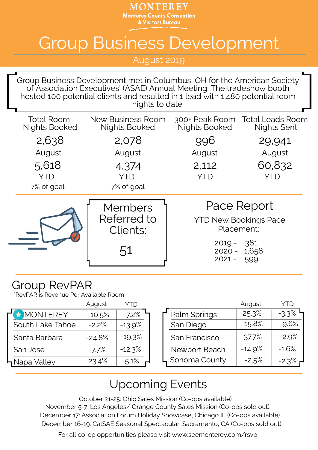MONTEREY **Monterey County Convention** & Visitors Bureau

## Group Business Development

August 2019

Group Business Development met in Columbus, OH for the American Society of Association Executives' (ASAE) Annual Meeting. The tradeshow booth hosted 100 potential clients and resulted in 1 lead with 1,480 potential room nights to date.

| <b>Total Room</b><br><b>Nights Booked</b> | New Business Room<br><b>Nights Booked</b> | <b>Nights Booked</b>                                      | 300+ Peak Room Total Leads Room<br><b>Nights Sent</b> |
|-------------------------------------------|-------------------------------------------|-----------------------------------------------------------|-------------------------------------------------------|
| 2,638                                     | 2,078                                     | 996                                                       | 29,941                                                |
| August                                    | August                                    | August                                                    | August                                                |
| 5,618                                     | 4,374                                     | 2,112                                                     | 60,832                                                |
| <b>YTD</b>                                | YTD                                       | YTD                                                       | YTD                                                   |
| 7% of goal                                | 7% of goal                                |                                                           |                                                       |
|                                           |                                           | Pace Report<br><b>YTD New Bookings Pace</b><br>Placement: |                                                       |
|                                           | <b>Members</b><br>Referred to<br>Clients: |                                                           |                                                       |

## Group RevPAR

\*RevPAR is Revenue Per Available Room

|                  | August   | YTD      |               |
|------------------|----------|----------|---------------|
| MONTEREY         | $-10.5%$ | $-7.2%$  | Palm Springs  |
| South Lake Tahoe | $-2.2%$  | $-13.9%$ | San Diego     |
| Santa Barbara    | $-24.8%$ | $-19.3%$ | San Francisco |
| San Jose         | $-7.7%$  | $-12.3%$ | Newport Beach |
| ¶Napa Valley     | 23.4%    | 5.1%     | Sonoma County |
|                  |          |          |               |

| YTD     |               | August   |         |
|---------|---------------|----------|---------|
| $-7.2%$ | Palm Springs  | 25.3%    | $-3.3%$ |
| .3.9%   | San Diego     | $-15.8%$ | $-9.6%$ |
| L9.3%   | San Francisco | 37.7%    | $-2.9%$ |
| $2.3\%$ | Newport Beach | $-14.9%$ | $-1.6%$ |
| $5.1\%$ | Sonoma County | $-2.5%$  | $-2.3%$ |

## Upcoming Events

October 21-25: Ohio Sales Mission (Co-ops available) December 17: Association Forum Holiday Showcase, Chicago IL (Co-ops available) December 16-19: CalSAE Seasonal Spectacular, Sacramento, CA (Co-ops sold out) November 5-7: Los Angeles/ Orange County Sales Mission (Co-ops sold out)

For all co-op opportunities please visit www.seemonterey.com/rsvp